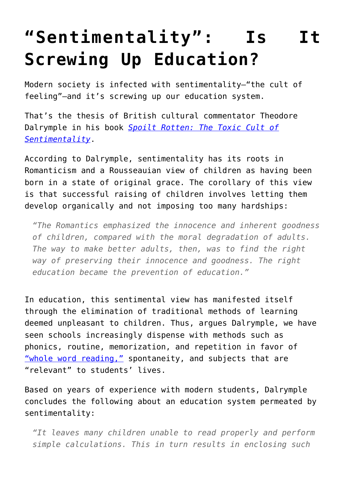## **["Sentimentality": Is It](https://intellectualtakeout.org/2015/12/sentimentality-is-it-screwing-up-education/) [Screwing Up Education?](https://intellectualtakeout.org/2015/12/sentimentality-is-it-screwing-up-education/)**

Modern society is infected with sentimentality—"the cult of feeling"—and it's screwing up our education system.

That's the thesis of British cultural commentator Theodore Dalrymple in his book *[Spoilt Rotten: The Toxic Cult of](http://amzn.to/1P8duEE) [Sentimentality](http://amzn.to/1P8duEE)*.

According to Dalrymple, sentimentality has its roots in Romanticism and a Rousseauian view of children as having been born in a state of original grace. The corollary of this view is that successful raising of children involves letting them develop organically and not imposing too many hardships:

*"The Romantics emphasized the innocence and inherent goodness of children, compared with the moral degradation of adults. The way to make better adults, then, was to find the right way of preserving their innocence and goodness. The right education became the prevention of education."*

In education, this sentimental view has manifested itself through the elimination of traditional methods of learning deemed unpleasant to children. Thus, argues Dalrymple, we have seen schools increasingly dispense with methods such as phonics, routine, memorization, and repetition in favor of ["whole word reading,"](http://www.improve-education.org/id58.html) spontaneity, and subjects that are "relevant" to students' lives.

Based on years of experience with modern students, Dalrymple concludes the following about an education system permeated by sentimentality:

*"It leaves many children unable to read properly and perform simple calculations. This in turn results in enclosing such*